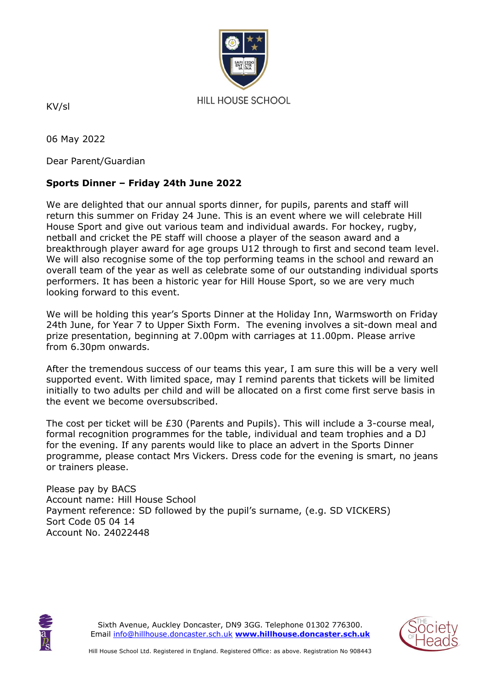

KV/sl

06 May 2022

Dear Parent/Guardian

## **Sports Dinner – Friday 24th June 2022**

We are delighted that our annual sports dinner, for pupils, parents and staff will return this summer on Friday 24 June. This is an event where we will celebrate Hill House Sport and give out various team and individual awards. For hockey, rugby, netball and cricket the PE staff will choose a player of the season award and a breakthrough player award for age groups U12 through to first and second team level. We will also recognise some of the top performing teams in the school and reward an overall team of the year as well as celebrate some of our outstanding individual sports performers. It has been a historic year for Hill House Sport, so we are very much looking forward to this event.

We will be holding this year's Sports Dinner at the Holiday Inn, Warmsworth on Friday 24th June, for Year 7 to Upper Sixth Form. The evening involves a sit-down meal and prize presentation, beginning at 7.00pm with carriages at 11.00pm. Please arrive from 6.30pm onwards.

After the tremendous success of our teams this year, I am sure this will be a very well supported event. With limited space, may I remind parents that tickets will be limited initially to two adults per child and will be allocated on a first come first serve basis in the event we become oversubscribed.

The cost per ticket will be £30 (Parents and Pupils). This will include a 3-course meal, formal recognition programmes for the table, individual and team trophies and a DJ for the evening. If any parents would like to place an advert in the Sports Dinner programme, please contact Mrs Vickers. Dress code for the evening is smart, no jeans or trainers please.

Please pay by BACS Account name: Hill House School Payment reference: SD followed by the pupil's surname, (e.g. SD VICKERS) Sort Code 05 04 14 Account No. 24022448